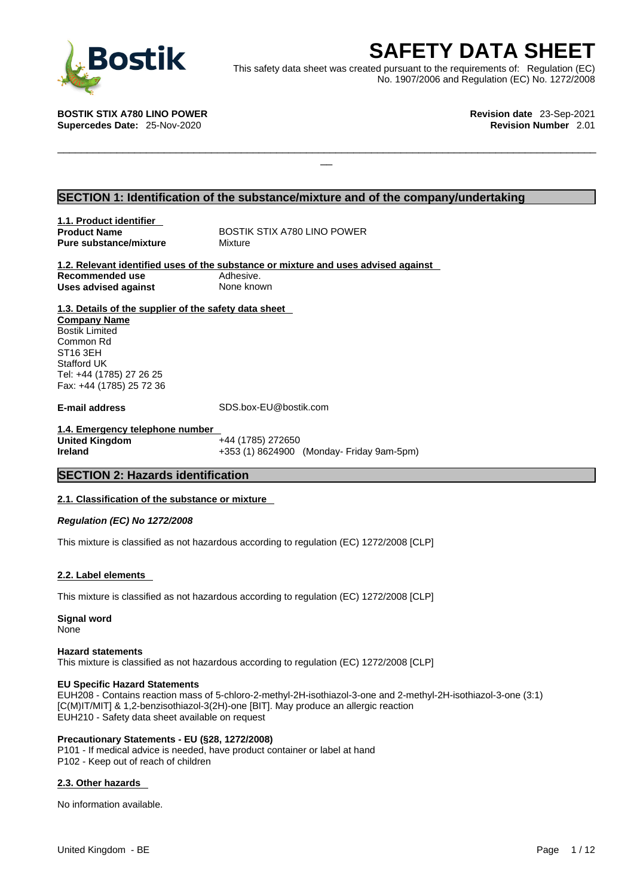

**SAFETY DATA SHEET**<br>
et was created pursuant to the requirements of: Regulation (EC)<br>
No. 1907/2006 and Regulation (EC) No. 1272/2008<br>
Revision date 23-Sep-2021<br>
Revision Number 2.01 This safety data sheet was created pursuant to the requirements of: Regulation (EC) No. 1907/2006 and Regulation (EC) No. 1272/2008

 $\Box$ 

**BOSTIK STIX A780 LINO POWER Revision date** 23-Sep-2021 **Supercedes Date:** 25-Nov-2020 **Revision Number** 2.01

# **SECTION 1: Identification of the substance/mixture and of the company/undertaking**

**1.1. Product identifier Product Name** BOSTIK STIX A780 LINO POWER **Pure substance/mixture** Mixture

**1.2. Relevant identified uses of the substance or mixture and uses advised against Recommended use** Adhesive.<br> **Uses advised against** None known **Uses advised against** 

**1.3. Details of the supplier of the safety data sheet Company Name** Bostik Limited Common Rd ST16 3EH Stafford UK Tel: +44 (1785) 27 26 25 Fax: +44 (1785) 25 72 36

**E-mail address** SDS.box-EU@bostik.com

**1.4. Emergency telephone number United Kingdom** +44 (1785) 272650 **Ireland** +353 (1) 8624900 (Monday- Friday 9am-5pm)

# **SECTION 2: Hazards identification**

## **2.1. Classification of the substance or mixture**

*Regulation (EC) No 1272/2008* 

This mixture is classified as not hazardous according to regulation (EC) 1272/2008 [CLP]

## **2.2. Label elements**

This mixture is classified as not hazardous according to regulation (EC) 1272/2008 [CLP]

**Signal word** None

## **Hazard statements**

This mixture is classified as not hazardous according to regulation (EC) 1272/2008 [CLP]

### **EU Specific Hazard Statements**

EUH208 - Contains reaction mass of 5-chloro-2-methyl-2H-isothiazol-3-one and 2-methyl-2H-isothiazol-3-one (3:1) [C(M)IT/MIT] & 1,2-benzisothiazol-3(2H)-one [BIT]. May produce an allergic reaction EUH210 - Safety data sheet available on request

## **Precautionary Statements - EU (§28, 1272/2008)**

P101 - If medical advice is needed, have product container or label at hand P102 - Keep out of reach of children

## **2.3. Other hazards**

No information available.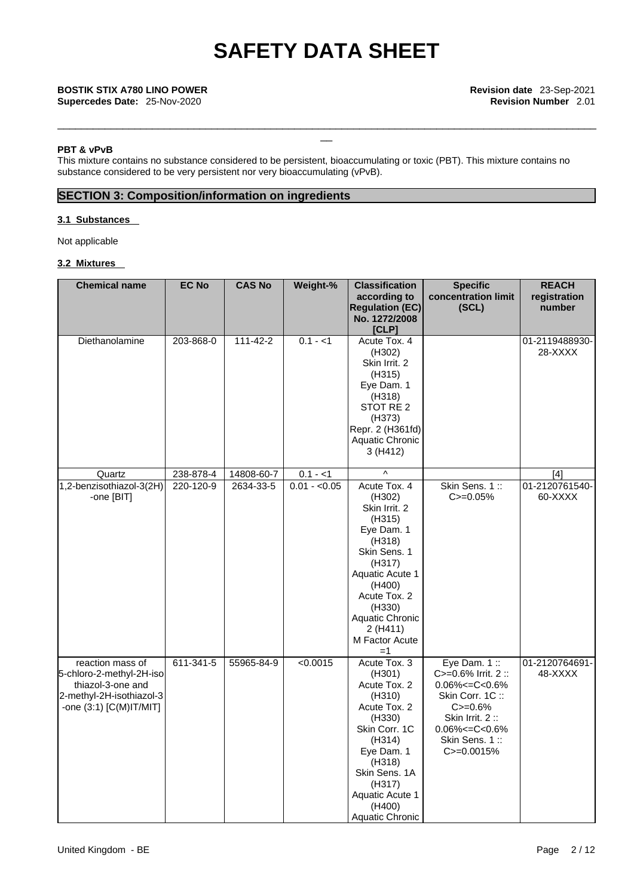\_\_\_\_\_\_\_\_\_\_\_\_\_\_\_\_\_\_\_\_\_\_\_\_\_\_\_\_\_\_\_\_\_\_\_\_\_\_\_\_\_\_\_\_\_\_\_\_\_\_\_\_\_\_\_\_\_\_\_\_\_\_\_\_\_\_\_\_\_\_\_\_\_\_\_\_\_\_\_\_\_\_\_\_\_\_\_\_\_\_\_

### **PBT & vPvB**

This mixture contains no substance considered to be persistent, bioaccumulating or toxic (PBT). This mixture contains no substance considered to be very persistent nor very bioaccumulating (vPvB).

# **SECTION 3: Composition/information on ingredients**

# **3.1 Substances**

Not applicable

# **3.2 Mixtures**

| <b>Chemical name</b>                                                                                                     | <b>EC No</b> | <b>CAS No</b>  | Weight-%      | <b>Classification</b><br>according to<br><b>Regulation (EC)</b><br>No. 1272/2008<br>[CLP]                                                                                                                          | <b>Specific</b><br>concentration limit<br>(SCL)                                                                                                                                   | <b>REACH</b><br>registration<br>number |
|--------------------------------------------------------------------------------------------------------------------------|--------------|----------------|---------------|--------------------------------------------------------------------------------------------------------------------------------------------------------------------------------------------------------------------|-----------------------------------------------------------------------------------------------------------------------------------------------------------------------------------|----------------------------------------|
| Diethanolamine                                                                                                           | 203-868-0    | $111 - 42 - 2$ | $0.1 - 1$     | Acute Tox. 4<br>(H302)<br>Skin Irrit. 2<br>(H315)<br>Eye Dam. 1<br>(H318)<br>STOT RE 2<br>(H373)<br>Repr. 2 (H361fd)<br>Aquatic Chronic<br>3 (H412)                                                                |                                                                                                                                                                                   | 01-2119488930-<br>28-XXXX              |
| Quartz                                                                                                                   | 238-878-4    | 14808-60-7     | $0.1 - 1$     | $\boldsymbol{\wedge}$                                                                                                                                                                                              |                                                                                                                                                                                   | [4]                                    |
| 1,2-benzisothiazol-3(2H)<br>-one [BIT]                                                                                   | 220-120-9    | 2634-33-5      | $0.01 - 0.05$ | Acute Tox. 4<br>(H302)<br>Skin Irrit, 2<br>(H315)<br>Eye Dam. 1<br>(H318)<br>Skin Sens. 1<br>(H317)<br>Aquatic Acute 1<br>(H400)<br>Acute Tox. 2<br>(H330)<br>Aquatic Chronic<br>2(H411)<br>M Factor Acute<br>$=1$ | Skin Sens. 1::<br>$C = 0.05%$                                                                                                                                                     | 01-2120761540-<br>60-XXXX              |
| reaction mass of<br>5-chloro-2-methyl-2H-iso<br>thiazol-3-one and<br>2-methyl-2H-isothiazol-3<br>-one (3:1) [C(M)IT/MIT] | 611-341-5    | 55965-84-9     | < 0.0015      | Acute Tox. 3<br>(H301)<br>Acute Tox. 2<br>(H310)<br>Acute Tox. 2<br>(H330)<br>Skin Corr. 1C<br>(H314)<br>Eye Dam. 1<br>(H318)<br>Skin Sens. 1A<br>(H317)<br>Aquatic Acute 1<br>(H400)<br>Aquatic Chronic           | Eye Dam. $1::$<br>C>=0.6% Irrit. 2 ::<br>$0.06\% < = C < 0.6\%$<br>Skin Corr. 1C:<br>$C = 0.6%$<br>Skin Irrit. $2::$<br>$0.06\% < = C < 0.6\%$<br>Skin Sens. 1::<br>$C = 0.0015%$ | 01-2120764691-<br>48-XXXX              |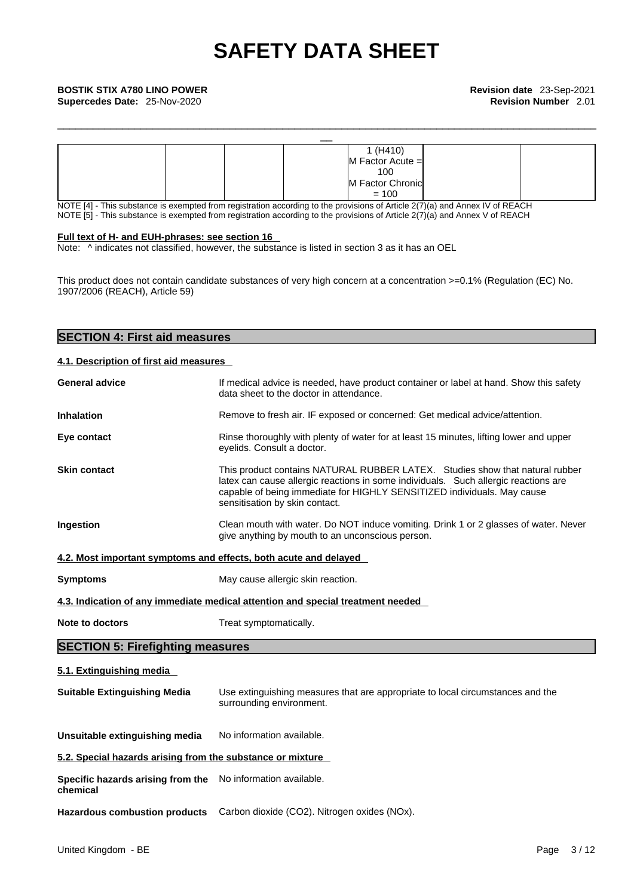|  | 1 (H410)             |  |
|--|----------------------|--|
|  | $M$ Factor Acute $=$ |  |
|  | 100                  |  |
|  | M Factor Chronic     |  |
|  | $= 100$              |  |

\_\_\_\_\_\_\_\_\_\_\_\_\_\_\_\_\_\_\_\_\_\_\_\_\_\_\_\_\_\_\_\_\_\_\_\_\_\_\_\_\_\_\_\_\_\_\_\_\_\_\_\_\_\_\_\_\_\_\_\_\_\_\_\_\_\_\_\_\_\_\_\_\_\_\_\_\_\_\_\_\_\_\_\_\_\_\_\_\_\_\_

NOTE [4] - This substance is exempted from registration according to the provisions of Article 2(7)(a) and Annex IV of REACH NOTE  $[5]$  - This substance is exempted from registration according to the provisions of Article  $2(7)(a)$  and Annex V of REACH

## **Full text of H- and EUH-phrases: see section 16**

**SECTION 4: First aid measures** 

Note: ^ indicates not classified, however, the substance is listed in section 3 as it has an OEL

This product does not contain candidate substances of very high concern at a concentration >=0.1% (Regulation (EC) No. 1907/2006 (REACH), Article 59)

| 4.1. Description of first aid measures                                  |                                                                                                                                                                                                                                                                                  |
|-------------------------------------------------------------------------|----------------------------------------------------------------------------------------------------------------------------------------------------------------------------------------------------------------------------------------------------------------------------------|
| <b>General advice</b>                                                   | If medical advice is needed, have product container or label at hand. Show this safety<br>data sheet to the doctor in attendance.                                                                                                                                                |
| <b>Inhalation</b>                                                       | Remove to fresh air. IF exposed or concerned: Get medical advice/attention.                                                                                                                                                                                                      |
| Eye contact                                                             | Rinse thoroughly with plenty of water for at least 15 minutes, lifting lower and upper<br>eyelids. Consult a doctor.                                                                                                                                                             |
| <b>Skin contact</b>                                                     | This product contains NATURAL RUBBER LATEX. Studies show that natural rubber<br>latex can cause allergic reactions in some individuals. Such allergic reactions are<br>capable of being immediate for HIGHLY SENSITIZED individuals. May cause<br>sensitisation by skin contact. |
| Ingestion                                                               | Clean mouth with water. Do NOT induce vomiting. Drink 1 or 2 glasses of water. Never<br>give anything by mouth to an unconscious person.                                                                                                                                         |
| 4.2. Most important symptoms and effects, both acute and delayed        |                                                                                                                                                                                                                                                                                  |
| <b>Symptoms</b>                                                         | May cause allergic skin reaction.                                                                                                                                                                                                                                                |
|                                                                         | 4.3. Indication of any immediate medical attention and special treatment needed                                                                                                                                                                                                  |
| Note to doctors                                                         | Treat symptomatically.                                                                                                                                                                                                                                                           |
| <b>SECTION 5: Firefighting measures</b>                                 |                                                                                                                                                                                                                                                                                  |
| 5.1. Extinguishing media                                                |                                                                                                                                                                                                                                                                                  |
| <b>Suitable Extinguishing Media</b>                                     | Use extinguishing measures that are appropriate to local circumstances and the<br>surrounding environment.                                                                                                                                                                       |
| Unsuitable extinguishing media                                          | No information available.                                                                                                                                                                                                                                                        |
| 5.2. Special hazards arising from the substance or mixture              |                                                                                                                                                                                                                                                                                  |
| Specific hazards arising from the No information available.<br>chemical |                                                                                                                                                                                                                                                                                  |
|                                                                         | Hazardous combustion products Carbon dioxide (CO2). Nitrogen oxides (NOx).                                                                                                                                                                                                       |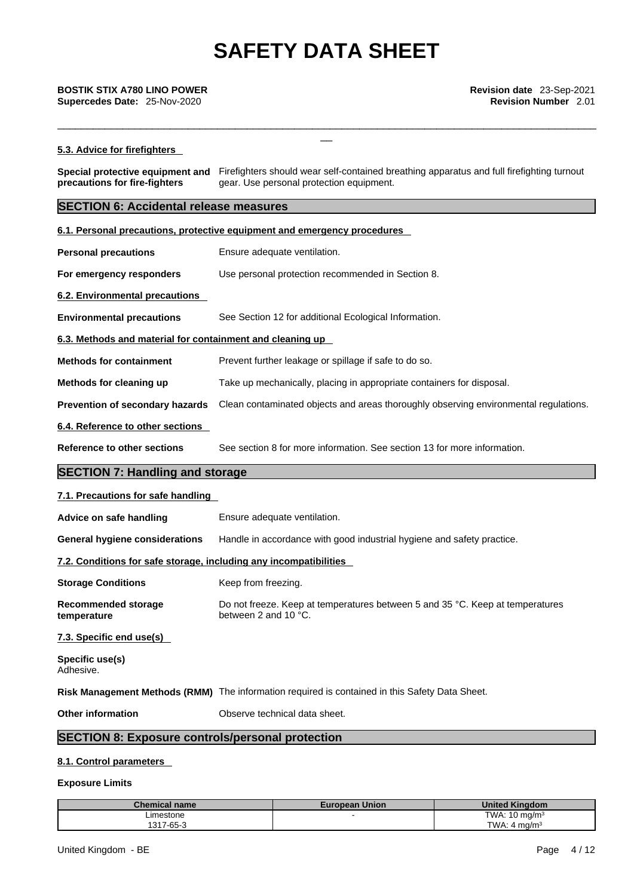# **5.3. Advice for firefighters**

**Special protective equipment and** Firefighters should wear self-contained breathing apparatus and full firefighting turnout **precautions for fire-fighters** gear. Use personal protection equipment.

\_\_\_\_\_\_\_\_\_\_\_\_\_\_\_\_\_\_\_\_\_\_\_\_\_\_\_\_\_\_\_\_\_\_\_\_\_\_\_\_\_\_\_\_\_\_\_\_\_\_\_\_\_\_\_\_\_\_\_\_\_\_\_\_\_\_\_\_\_\_\_\_\_\_\_\_\_\_\_\_\_\_\_\_\_\_\_\_\_\_\_

# **SECTION 6: Accidental release measures**

|                                                                   | 6.1. Personal precautions, protective equipment and emergency procedures                              |  |  |
|-------------------------------------------------------------------|-------------------------------------------------------------------------------------------------------|--|--|
| <b>Personal precautions</b>                                       | Ensure adequate ventilation.                                                                          |  |  |
| For emergency responders                                          | Use personal protection recommended in Section 8.                                                     |  |  |
| 6.2. Environmental precautions                                    |                                                                                                       |  |  |
| <b>Environmental precautions</b>                                  | See Section 12 for additional Ecological Information.                                                 |  |  |
| 6.3. Methods and material for containment and cleaning up         |                                                                                                       |  |  |
| <b>Methods for containment</b>                                    | Prevent further leakage or spillage if safe to do so.                                                 |  |  |
| Methods for cleaning up                                           | Take up mechanically, placing in appropriate containers for disposal.                                 |  |  |
| <b>Prevention of secondary hazards</b>                            | Clean contaminated objects and areas thoroughly observing environmental regulations.                  |  |  |
| 6.4. Reference to other sections                                  |                                                                                                       |  |  |
| <b>Reference to other sections</b>                                | See section 8 for more information. See section 13 for more information.                              |  |  |
| <b>SECTION 7: Handling and storage</b>                            |                                                                                                       |  |  |
| 7.1. Precautions for safe handling                                |                                                                                                       |  |  |
| Advice on safe handling                                           | Ensure adequate ventilation.                                                                          |  |  |
| <b>General hygiene considerations</b>                             | Handle in accordance with good industrial hygiene and safety practice.                                |  |  |
| 7.2. Conditions for safe storage, including any incompatibilities |                                                                                                       |  |  |
| <b>Storage Conditions</b>                                         | Keep from freezing.                                                                                   |  |  |
| <b>Recommended storage</b><br>temperature                         | Do not freeze. Keep at temperatures between 5 and 35 °C. Keep at temperatures<br>between 2 and 10 °C. |  |  |
| 7.3. Specific end use(s)                                          |                                                                                                       |  |  |
| Specific use(s)<br>Adhesive.                                      |                                                                                                       |  |  |
|                                                                   | Risk Management Methods (RMM) The information required is contained in this Safety Data Sheet.        |  |  |
| <b>Other information</b>                                          | Observe technical data sheet.                                                                         |  |  |
| <b>SECTION 8: Exposure controls/personal protection</b>           |                                                                                                       |  |  |

## **8.1. Control parameters**

# **Exposure Limits**

| <b>Chemical name</b> | <b>European Union</b> | <b>United Kinadom</b>     |
|----------------------|-----------------------|---------------------------|
| ∟imestone            |                       | TWA: $10 \text{ mg/m}^3$  |
| 1317-65-3            |                       | TWA:<br>ma/m <sup>3</sup> |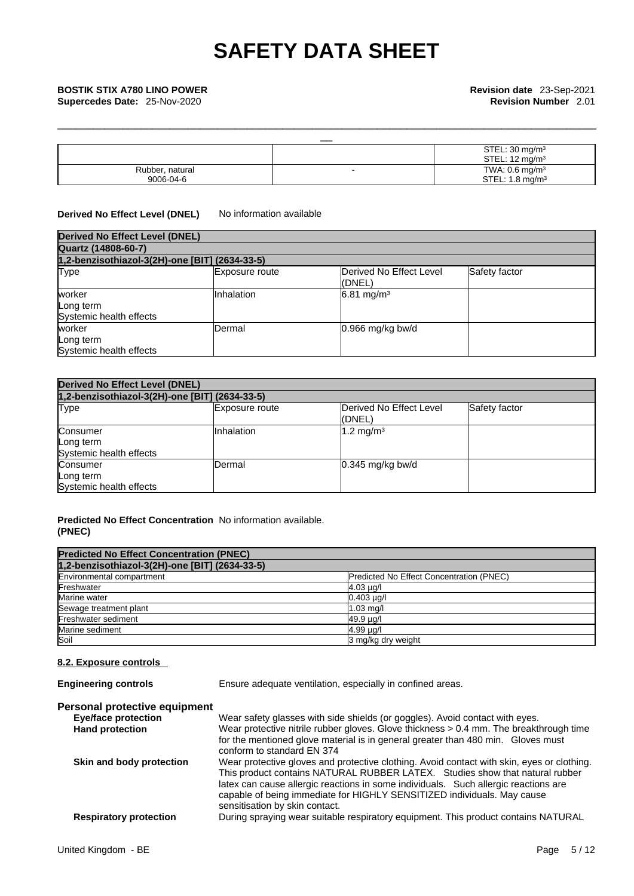| <b>BOSTIK STIX A780 LINO POWER</b><br>Supercedes Date: 25-Nov-2020 | Revision date 23-Sep-2021<br><b>Revision Number 2.01</b> |
|--------------------------------------------------------------------|----------------------------------------------------------|
|                                                                    |                                                          |
|                                                                    | STEL: $30 \text{ mg/m}^3$                                |
|                                                                    | STEL: $12 \text{ mg/m}^3$                                |
| Rubber, natural                                                    | TWA: $0.6$ mg/m <sup>3</sup>                             |
| 9006-04-6                                                          | STEL: $1.8 \text{ mg/m}^3$                               |

\_\_\_\_\_\_\_\_\_\_\_\_\_\_\_\_\_\_\_\_\_\_\_\_\_\_\_\_\_\_\_\_\_\_\_\_\_\_\_\_\_\_\_\_\_\_\_\_\_\_\_\_\_\_\_\_\_\_\_\_\_\_\_\_\_\_\_\_\_\_\_\_\_\_\_\_\_\_\_\_\_\_\_\_\_\_\_\_\_\_\_

# **Derived No Effect Level (DNEL)** No information available

| <b>Derived No Effect Level (DNEL)</b>          |                |                                   |               |  |  |
|------------------------------------------------|----------------|-----------------------------------|---------------|--|--|
| Quartz (14808-60-7)                            |                |                                   |               |  |  |
| 1,2-benzisothiazol-3(2H)-one [BIT] (2634-33-5) |                |                                   |               |  |  |
| Type                                           | Exposure route | Derived No Effect Level<br>(DNEL) | Safety factor |  |  |
| worker<br>Long term<br>Systemic health effects | Inhalation     | $6.81 \text{ mg/m}^3$             |               |  |  |
| worker<br>Long term<br>Systemic health effects | Dermal         | $0.966$ mg/kg bw/d                |               |  |  |

| <b>Derived No Effect Level (DNEL)</b>            |                |                                   |               |  |  |
|--------------------------------------------------|----------------|-----------------------------------|---------------|--|--|
| 1,2-benzisothiazol-3(2H)-one [BIT] (2634-33-5)   |                |                                   |               |  |  |
| <b>Type</b>                                      | Exposure route | Derived No Effect Level<br>(DNEL) | Safety factor |  |  |
| Consumer<br>Long term<br>Systemic health effects | Inhalation     | $1.2 \text{ mg/m}^3$              |               |  |  |
| Consumer<br>Long term<br>Systemic health effects | Dermal         | $0.345$ mg/kg bw/d                |               |  |  |

## **Predicted No Effect Concentration** No information available. **(PNEC)**

| <b>Predicted No Effect Concentration (PNEC)</b> |                                          |
|-------------------------------------------------|------------------------------------------|
| 1,2-benzisothiazol-3(2H)-one [BIT] (2634-33-5)  |                                          |
| Environmental compartment                       | Predicted No Effect Concentration (PNEC) |
| Freshwater                                      | $4.03 \mu q$                             |
| Marine water                                    | $0.403 \mu g/l$                          |
| Sewage treatment plant                          | $1.03$ mg/                               |
| Freshwater sediment                             | 49.9 µg/l                                |
| Marine sediment                                 | $4.99 \mu q$                             |
| Soil                                            | 3 mg/kg dry weight                       |

# **8.2. Exposure controls**

**Engineering controls** Ensure adequate ventilation, especially in confined areas.

# **Personal protective equipment**

| <b>Eye/face protection</b>    | Wear safety glasses with side shields (or goggles). Avoid contact with eyes.               |
|-------------------------------|--------------------------------------------------------------------------------------------|
| <b>Hand protection</b>        | Wear protective nitrile rubber gloves. Glove thickness > 0.4 mm. The breakthrough time     |
|                               | for the mentioned glove material is in general greater than 480 min. Gloves must           |
|                               | conform to standard EN 374                                                                 |
| Skin and body protection      | Wear protective gloves and protective clothing. Avoid contact with skin, eyes or clothing. |
|                               | This product contains NATURAL RUBBER LATEX. Studies show that natural rubber               |
|                               | latex can cause allergic reactions in some individuals. Such allergic reactions are        |
|                               | capable of being immediate for HIGHLY SENSITIZED individuals. May cause                    |
|                               | sensitisation by skin contact.                                                             |
| <b>Respiratory protection</b> | During spraying wear suitable respiratory equipment. This product contains NATURAL         |
|                               |                                                                                            |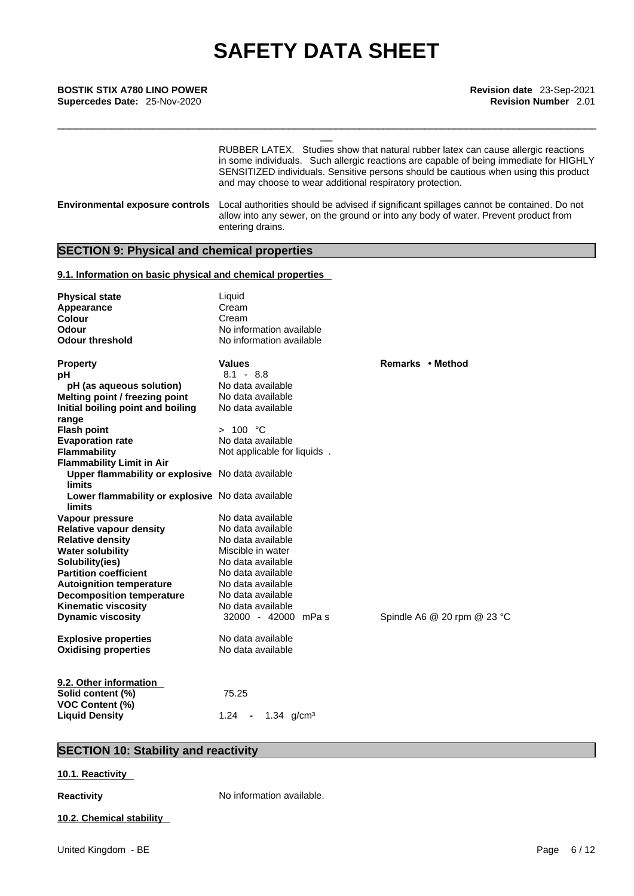\_\_ **BOSTIK STIX A780 LINO POWER Revision date** 23-Sep-2021 **Supercedes Date:** 25-Nov-2020 **Revision Number** 2.01

| RUBBER LATEX. Studies show that natural rubber latex can cause allergic reactions<br>in some individuals. Such allergic reactions are capable of being immediate for HIGHLY<br>SENSITIZED individuals. Sensitive persons should be cautious when using this product<br>and may choose to wear additional respiratory protection. |  |
|----------------------------------------------------------------------------------------------------------------------------------------------------------------------------------------------------------------------------------------------------------------------------------------------------------------------------------|--|
| Local authorities should be advised if significant spillages cannot be contained. Do not<br><b>Environmental exposure controls</b><br>allow into any sewer, on the ground or into any body of water. Prevent product from<br>entering drains.                                                                                    |  |

\_\_\_\_\_\_\_\_\_\_\_\_\_\_\_\_\_\_\_\_\_\_\_\_\_\_\_\_\_\_\_\_\_\_\_\_\_\_\_\_\_\_\_\_\_\_\_\_\_\_\_\_\_\_\_\_\_\_\_\_\_\_\_\_\_\_\_\_\_\_\_\_\_\_\_\_\_\_\_\_\_\_\_\_\_\_\_\_\_\_\_

# **SECTION 9: Physical and chemical properties**

# **9.1. Information on basic physical and chemical properties**

| <b>Physical state</b>                             | Liquid                         |                                 |
|---------------------------------------------------|--------------------------------|---------------------------------|
| <b>Appearance</b>                                 | Cream                          |                                 |
| <b>Colour</b>                                     | Cream                          |                                 |
| <b>Odour</b>                                      | No information available       |                                 |
| <b>Odour threshold</b>                            | No information available       |                                 |
|                                                   |                                |                                 |
| Property                                          | <b>Values</b>                  | Remarks • Method                |
| pН                                                | $8.1 - 8.8$                    |                                 |
| pH (as aqueous solution)                          | No data available              |                                 |
| Melting point / freezing point                    | No data available              |                                 |
| Initial boiling point and boiling                 | No data available              |                                 |
| range                                             |                                |                                 |
| <b>Flash point</b>                                | > 100 °C                       |                                 |
| <b>Evaporation rate</b>                           | No data available              |                                 |
| Flammability                                      | Not applicable for liquids.    |                                 |
| <b>Flammability Limit in Air</b>                  |                                |                                 |
| Upper flammability or explosive No data available |                                |                                 |
| <b>limits</b>                                     |                                |                                 |
| Lower flammability or explosive No data available |                                |                                 |
| limits                                            |                                |                                 |
| Vapour pressure                                   | No data available              |                                 |
| <b>Relative vapour density</b>                    | No data available              |                                 |
| <b>Relative density</b>                           | No data available              |                                 |
| <b>Water solubility</b>                           | Miscible in water              |                                 |
| Solubility(ies)                                   | No data available              |                                 |
| <b>Partition coefficient</b>                      | No data available              |                                 |
| <b>Autoignition temperature</b>                   | No data available              |                                 |
| <b>Decomposition temperature</b>                  | No data available              |                                 |
| <b>Kinematic viscosity</b>                        | No data available              |                                 |
| <b>Dynamic viscosity</b>                          | 32000 - 42000 mPas             | Spindle A6 $@$ 20 rpm $@$ 23 °C |
|                                                   |                                |                                 |
| <b>Explosive properties</b>                       | No data available              |                                 |
| <b>Oxidising properties</b>                       | No data available              |                                 |
|                                                   |                                |                                 |
|                                                   |                                |                                 |
| 9.2. Other information                            |                                |                                 |
| Solid content (%)                                 | 75.25                          |                                 |
| <b>VOC Content (%)</b>                            |                                |                                 |
| <b>Liquid Density</b>                             | 1.24<br>1.34 $q/cm3$<br>$\sim$ |                                 |

# **SECTION 10: Stability and reactivity**

# **10.1. Reactivity**

**Reactivity No information available.** 

**10.2. Chemical stability**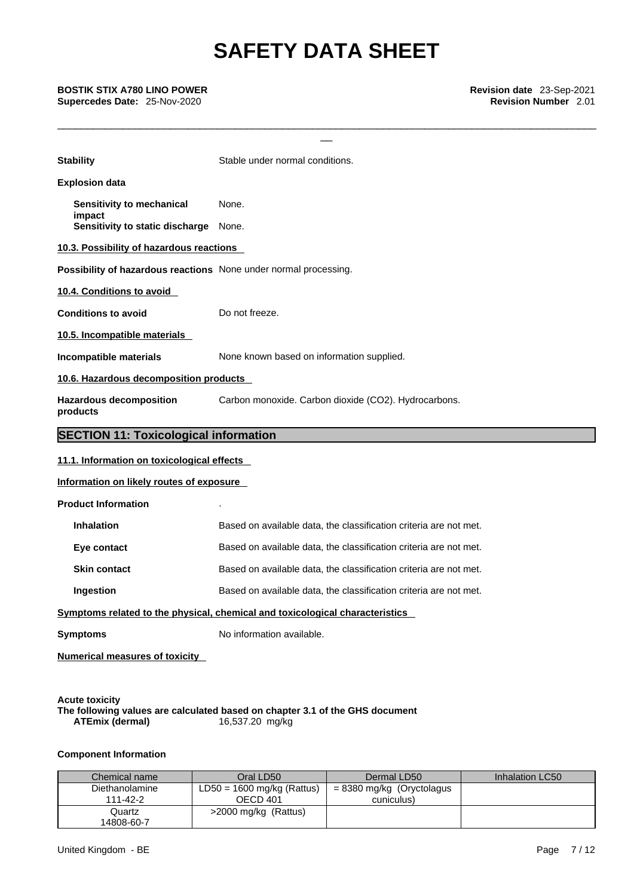\_\_\_\_\_\_\_\_\_\_\_\_\_\_\_\_\_\_\_\_\_\_\_\_\_\_\_\_\_\_\_\_\_\_\_\_\_\_\_\_\_\_\_\_\_\_\_\_\_\_\_\_\_\_\_\_\_\_\_\_\_\_\_\_\_\_\_\_\_\_\_\_\_\_\_\_\_\_\_\_\_\_\_\_\_\_\_\_\_\_\_

| <b>BOSTIK STIX A780 LINO POWER</b><br>Supercedes Date: 25-Nov-2020 | Revision date 23-Sep-2021<br><b>Revision Number 2.01</b>                     |  |  |  |
|--------------------------------------------------------------------|------------------------------------------------------------------------------|--|--|--|
| <b>Stability</b>                                                   | Stable under normal conditions.                                              |  |  |  |
| <b>Explosion data</b>                                              |                                                                              |  |  |  |
| Sensitivity to mechanical<br>impact                                | None.                                                                        |  |  |  |
| Sensitivity to static discharge                                    | None.                                                                        |  |  |  |
| 10.3. Possibility of hazardous reactions                           |                                                                              |  |  |  |
| Possibility of hazardous reactions None under normal processing.   |                                                                              |  |  |  |
| 10.4. Conditions to avoid                                          |                                                                              |  |  |  |
| <b>Conditions to avoid</b>                                         | Do not freeze.                                                               |  |  |  |
| 10.5. Incompatible materials                                       |                                                                              |  |  |  |
| Incompatible materials                                             | None known based on information supplied.                                    |  |  |  |
| 10.6. Hazardous decomposition products                             |                                                                              |  |  |  |
| <b>Hazardous decomposition</b><br>products                         | Carbon monoxide. Carbon dioxide (CO2). Hydrocarbons.                         |  |  |  |
| <b>SECTION 11: Toxicological information</b>                       |                                                                              |  |  |  |
| 11.1. Information on toxicological effects                         |                                                                              |  |  |  |
| Information on likely routes of exposure                           |                                                                              |  |  |  |
| <b>Product Information</b>                                         |                                                                              |  |  |  |
| <b>Inhalation</b>                                                  | Based on available data, the classification criteria are not met.            |  |  |  |
| Eye contact                                                        | Based on available data, the classification criteria are not met.            |  |  |  |
| <b>Skin contact</b>                                                | Based on available data, the classification criteria are not met.            |  |  |  |
| Ingestion                                                          | Based on available data, the classification criteria are not met.            |  |  |  |
|                                                                    | Symptoms related to the physical, chemical and toxicological characteristics |  |  |  |
| <b>Symptoms</b>                                                    | No information available.                                                    |  |  |  |
| <b>Numerical measures of toxicity</b>                              |                                                                              |  |  |  |
|                                                                    |                                                                              |  |  |  |

**Acute toxicity The following values are calculated based on chapter 3.1 of the GHS document ATEmix (dermal)**16,537.20 mg/kg

# **Component Information**

| Chemical name              | Oral LD50                                | Dermal LD50                             | Inhalation LC50 |
|----------------------------|------------------------------------------|-----------------------------------------|-----------------|
| Diethanolamine<br>111-42-2 | $LD50 = 1600$ mg/kg (Rattus)<br>OECD 401 | = 8380 mg/kg (Oryctolagus<br>cuniculus) |                 |
| Quartz<br>14808-60-7       | >2000 mg/kg (Rattus)                     |                                         |                 |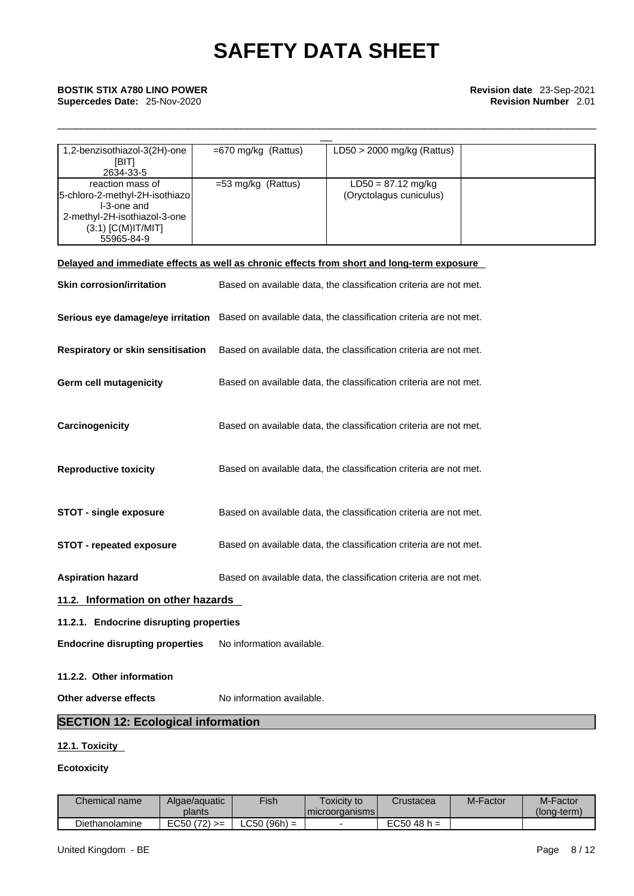| <b>BOSTIK STIX A780 LINO POWER</b><br><b>Supercedes Date: 25-Nov-2020</b> |                       |                              | Revision date 23-Sep-2021<br><b>Revision Number 2.01</b> |
|---------------------------------------------------------------------------|-----------------------|------------------------------|----------------------------------------------------------|
|                                                                           |                       |                              |                                                          |
| 1,2-benzisothiazol-3(2H)-one                                              | $=670$ mg/kg (Rattus) | $LD50 > 2000$ mg/kg (Rattus) |                                                          |
| [BIT]                                                                     |                       |                              |                                                          |
| 2634-33-5                                                                 |                       |                              |                                                          |
| reaction mass of                                                          | $=$ 53 mg/kg (Rattus) | $LD50 = 87.12$ mg/kg         |                                                          |
| 5-chloro-2-methyl-2H-isothiazo                                            |                       | (Oryctolagus cuniculus)      |                                                          |
| I-3-one and                                                               |                       |                              |                                                          |
| 2-methyl-2H-isothiazol-3-one                                              |                       |                              |                                                          |
| $(3:1)$ [C(M)IT/MIT]                                                      |                       |                              |                                                          |
| 55965-84-9                                                                |                       |                              |                                                          |

\_\_\_\_\_\_\_\_\_\_\_\_\_\_\_\_\_\_\_\_\_\_\_\_\_\_\_\_\_\_\_\_\_\_\_\_\_\_\_\_\_\_\_\_\_\_\_\_\_\_\_\_\_\_\_\_\_\_\_\_\_\_\_\_\_\_\_\_\_\_\_\_\_\_\_\_\_\_\_\_\_\_\_\_\_\_\_\_\_\_\_

|                                         | Delayed and immediate effects as well as chronic effects from short and long-term exposure          |  |  |  |
|-----------------------------------------|-----------------------------------------------------------------------------------------------------|--|--|--|
| <b>Skin corrosion/irritation</b>        | Based on available data, the classification criteria are not met.                                   |  |  |  |
|                                         | Serious eye damage/eye irritation Based on available data, the classification criteria are not met. |  |  |  |
| Respiratory or skin sensitisation       | Based on available data, the classification criteria are not met.                                   |  |  |  |
| <b>Germ cell mutagenicity</b>           | Based on available data, the classification criteria are not met.                                   |  |  |  |
| Carcinogenicity                         | Based on available data, the classification criteria are not met.                                   |  |  |  |
| <b>Reproductive toxicity</b>            | Based on available data, the classification criteria are not met.                                   |  |  |  |
| <b>STOT - single exposure</b>           | Based on available data, the classification criteria are not met.                                   |  |  |  |
| <b>STOT - repeated exposure</b>         | Based on available data, the classification criteria are not met.                                   |  |  |  |
| <b>Aspiration hazard</b>                | Based on available data, the classification criteria are not met.                                   |  |  |  |
| 11.2. Information on other hazards      |                                                                                                     |  |  |  |
| 11.2.1. Endocrine disrupting properties |                                                                                                     |  |  |  |
| <b>Endocrine disrupting properties</b>  | No information available.                                                                           |  |  |  |
| 11.2.2. Other information               |                                                                                                     |  |  |  |
| Other adverse effects                   | No information available.                                                                           |  |  |  |

**SECTION 12: Ecological information** 

# **12.1. Toxicity**

# **Ecotoxicity**

| Chemical name  | Algae/aguatic     | Fish           | Γoxicitν to        | Crustacea        | M-Factor | M-Factor    |
|----------------|-------------------|----------------|--------------------|------------------|----------|-------------|
|                | plants            |                | I microorganisms I |                  |          | (Iona-term) |
| Diethanolamine | $(72) >=$<br>EC50 | $LC50 (96h) =$ |                    | EC50<br>$48 h =$ |          |             |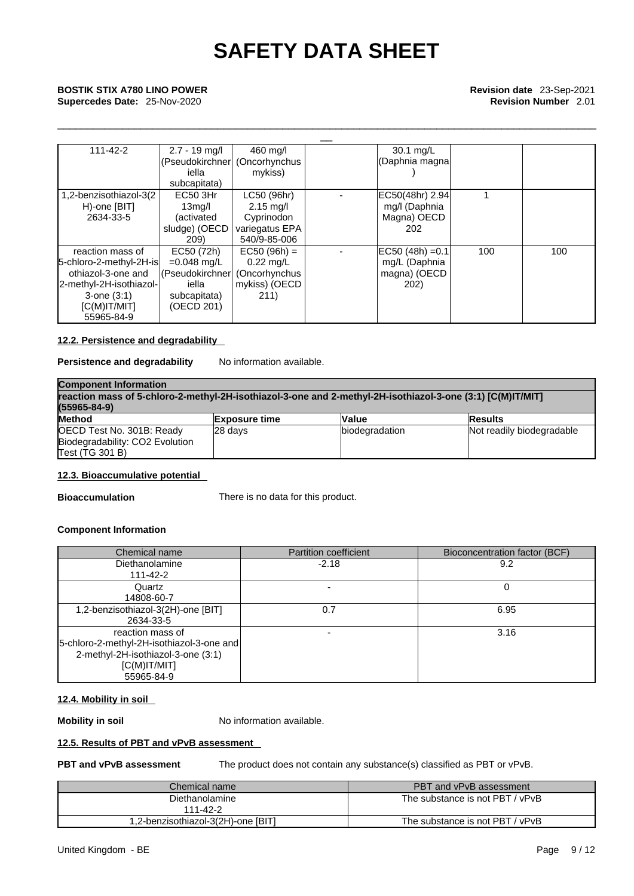\_\_\_\_\_\_\_\_\_\_\_\_\_\_\_\_\_\_\_\_\_\_\_\_\_\_\_\_\_\_\_\_\_\_\_\_\_\_\_\_\_\_\_\_\_\_\_\_\_\_\_\_\_\_\_\_\_\_\_\_\_\_\_\_\_\_\_\_\_\_\_\_\_\_\_\_\_\_\_\_\_\_\_\_\_\_\_\_\_\_\_

# **Supercedes Date:** 25-Nov-2020 **Revision Number** 2.01

| <b>BOSTIK STIX A780 LINO POWER</b><br>Supercedes Date: 25-Nov-2020                                                                                 |                                                                                        |                                                                                    | Revision date 23-Sep-2021<br><b>Revision Number 2.01</b>    |     |     |
|----------------------------------------------------------------------------------------------------------------------------------------------------|----------------------------------------------------------------------------------------|------------------------------------------------------------------------------------|-------------------------------------------------------------|-----|-----|
| $111 - 42 - 2$                                                                                                                                     | $2.7 - 19$ mg/l<br>(Pseudokirchner<br>iella<br>subcapitata)                            | 460 mg/l<br>(Oncorhynchus<br>mykiss)                                               | 30.1 mg/L<br>(Daphnia magnal                                |     |     |
| 1,2-benzisothiazol-3(2<br>H)-one [BIT]<br>2634-33-5                                                                                                | EC50 3Hr<br>13 <sub>mg</sub> /l<br>(activated<br>sludge) (OECD<br>209)                 | LC50 (96hr)<br>$2.15 \text{ mg/l}$<br>Cyprinodon<br>variegatus EPA<br>540/9-85-006 | EC50(48hr) 2.94<br>mg/l (Daphnia<br>Magna) OECD<br>202      |     |     |
| reaction mass of<br>5-chloro-2-methyl-2H-isl<br>othiazol-3-one and<br>2-methyl-2H-isothiazol-<br>$3$ -one $(3:1)$<br>$[C(M)$ IT/MIT]<br>55965-84-9 | EC50 (72h)<br>$=0.048$ mg/L<br>l(Pseudokirchner<br>iella<br>subcapitata)<br>(OECD 201) | $EC50 (96h) =$<br>$0.22$ mg/L<br>(Oncorhynchus<br>mykiss) (OECD<br>211)            | $EC50 (48h) = 0.1$<br>mg/L (Daphnia<br>magna) (OECD<br>202) | 100 | 100 |

# **12.2. Persistence and degradability**

# **Persistence and degradability** No information available.

| <b>Component Information</b>                                                                               |                      |                |                           |  |
|------------------------------------------------------------------------------------------------------------|----------------------|----------------|---------------------------|--|
| reaction mass of 5-chloro-2-methyl-2H-isothiazol-3-one and 2-methyl-2H-isothiazol-3-one (3:1) [C(M)IT/MIT] |                      |                |                           |  |
| $(55965 - 84 - 9)$                                                                                         |                      |                |                           |  |
| <b>Method</b>                                                                                              | <b>Exposure time</b> | <b>Value</b>   | <b>Results</b>            |  |
| OECD Test No. 301B: Ready<br>Biodegradability: CO2 Evolution<br>Test (TG 301 B)                            | 28 davs              | biodegradation | Not readily biodegradable |  |

# **12.3. Bioaccumulative potential**

**Bioaccumulation** There is no data for this product.

# **Component Information**

| Chemical name                               | <b>Partition coefficient</b> | Bioconcentration factor (BCF) |
|---------------------------------------------|------------------------------|-------------------------------|
| <b>Diethanolamine</b>                       | $-2.18$                      | 9.2                           |
| 111-42-2                                    |                              |                               |
| Quartz                                      |                              |                               |
| 14808-60-7                                  |                              |                               |
| 1,2-benzisothiazol-3(2H)-one [BIT]          | 0.7                          | 6.95                          |
| 2634-33-5                                   |                              |                               |
| reaction mass of                            | $\overline{\phantom{a}}$     | 3.16                          |
| [5-chloro-2-methyl-2H-isothiazol-3-one and] |                              |                               |
| 2-methyl-2H-isothiazol-3-one (3:1)          |                              |                               |
| $[C(M)$ IT/MIT]                             |                              |                               |
| 55965-84-9                                  |                              |                               |

# **12.4. Mobility in soil**

**Mobility in soil** No information available.

# **12.5. Results of PBT and vPvB assessment**

**PBT and vPvB assessment** The product does not contain any substance(s) classified as PBT or vPvB.

| Chemical name                      | PBT and vPvB assessment         |
|------------------------------------|---------------------------------|
| Diethanolamine<br>111-42-2         | The substance is not PBT / vPvB |
| 1,2-benzisothiazol-3(2H)-one [BIT] | The substance is not PBT / vPvB |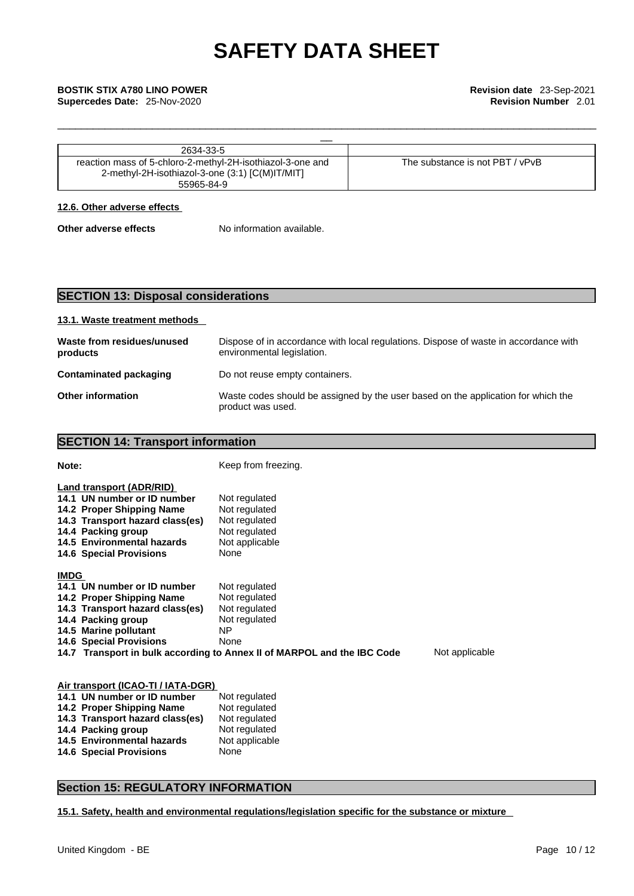| 2634-33-5                                                                                                                   |                                 |
|-----------------------------------------------------------------------------------------------------------------------------|---------------------------------|
| reaction mass of 5-chloro-2-methyl-2H-isothiazol-3-one and<br>2-methyl-2H-isothiazol-3-one (3:1) [C(M)IT/MIT]<br>55965-84-9 | The substance is not PBT / vPvB |

\_\_\_\_\_\_\_\_\_\_\_\_\_\_\_\_\_\_\_\_\_\_\_\_\_\_\_\_\_\_\_\_\_\_\_\_\_\_\_\_\_\_\_\_\_\_\_\_\_\_\_\_\_\_\_\_\_\_\_\_\_\_\_\_\_\_\_\_\_\_\_\_\_\_\_\_\_\_\_\_\_\_\_\_\_\_\_\_\_\_\_

# **12.6. Other adverse effects**

**Other adverse effects** No information available.

# **SECTION 13: Disposal considerations**

**SECTION 14: Transport information** 

# **13.1. Waste treatment methods**

| Waste from residues/unused<br>products | Dispose of in accordance with local regulations. Dispose of waste in accordance with<br>environmental legislation. |
|----------------------------------------|--------------------------------------------------------------------------------------------------------------------|
| Contaminated packaging                 | Do not reuse empty containers.                                                                                     |
| <b>Other information</b>               | Waste codes should be assigned by the user based on the application for which the<br>product was used.             |

# **Note: Note: Keep from freezing. Land transport (ADR/RID) 14.1 UN number or ID number** Not regulated<br>**14.2 Proper Shipping Name** Not regulated **14.2 Proper Shipping Name** Not regulated **14.3 Transport hazard class(es)** Not regulated **14.3 Transport hazard class(es)** Not regulated **14.4 Packing group 14.4 Packing group** Not regulated **14.5 Environmental hazards** Not applicable 14.6 Special Provisions None

## **IMDG**

**14.6 Special Provisions** 

| 14.1 UN number or ID number     | Not regulated                                                           |                |
|---------------------------------|-------------------------------------------------------------------------|----------------|
| 14.2 Proper Shipping Name       | Not regulated                                                           |                |
| 14.3 Transport hazard class(es) | Not regulated                                                           |                |
| 14.4 Packing group              | Not regulated                                                           |                |
| 14.5 Marine pollutant           | NP.                                                                     |                |
| <b>14.6 Special Provisions</b>  | None                                                                    |                |
|                                 | 14.7 Transport in bulk according to Annex II of MARPOL and the IBC Code | Not applicable |

| Air transport (ICAO-TI / IATA-DGR) |                                   |                |  |
|------------------------------------|-----------------------------------|----------------|--|
|                                    | 14.1 UN number or ID number       | Not regulated  |  |
|                                    | 14.2 Proper Shipping Name         | Not regulated  |  |
|                                    | 14.3 Transport hazard class(es)   | Not regulated  |  |
|                                    | 14.4 Packing group                | Not regulated  |  |
|                                    | <b>14.5 Environmental hazards</b> | Not applicable |  |
|                                    | <b>14.6 Special Provisions</b>    | None           |  |

# **Section 15: REGULATORY INFORMATION**

**15.1. Safety, health and environmental regulations/legislation specific for the substance or mixture**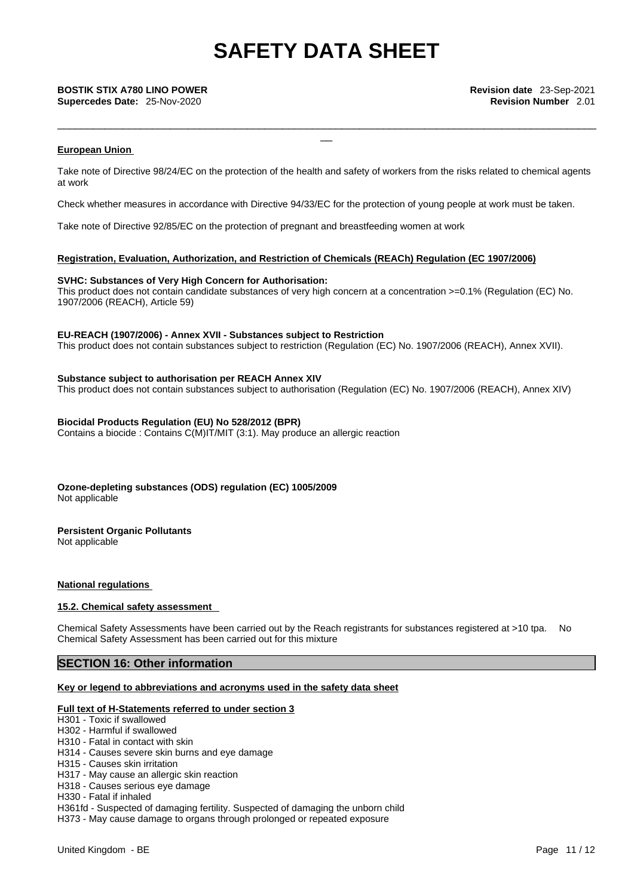**Supercedes Date:** 25-Nov-2020 **Revision Number** 2.01

### **European Union**

Take note of Directive 98/24/EC on the protection of the health and safety of workers from the risks related to chemical agents at work

\_\_\_\_\_\_\_\_\_\_\_\_\_\_\_\_\_\_\_\_\_\_\_\_\_\_\_\_\_\_\_\_\_\_\_\_\_\_\_\_\_\_\_\_\_\_\_\_\_\_\_\_\_\_\_\_\_\_\_\_\_\_\_\_\_\_\_\_\_\_\_\_\_\_\_\_\_\_\_\_\_\_\_\_\_\_\_\_\_\_\_

Check whether measures in accordance with Directive 94/33/EC for the protection of young people at work must be taken.

Take note of Directive 92/85/EC on the protection of pregnant and breastfeeding women at work

## **Registration, Evaluation, Authorization, and Restriction of Chemicals (REACh) Regulation (EC 1907/2006)**

### **SVHC: Substances of Very High Concern for Authorisation:**

This product does not contain candidate substances of very high concern at a concentration >=0.1% (Regulation (EC) No. 1907/2006 (REACH), Article 59)

### **EU-REACH (1907/2006) - Annex XVII - Substances subject to Restriction**

This product does not contain substances subject to restriction (Regulation (EC) No. 1907/2006 (REACH), Annex XVII).

### **Substance subject to authorisation per REACH Annex XIV**

This product does not contain substances subject to authorisation (Regulation (EC) No. 1907/2006 (REACH), Annex XIV)

### **Biocidal Products Regulation (EU) No 528/2012 (BPR)**

Contains a biocide : Contains C(M)IT/MIT (3:1). May produce an allergic reaction

**Ozone-depleting substances (ODS) regulation (EC) 1005/2009** Not applicable

## **Persistent Organic Pollutants**

Not applicable

## **National regulations**

### **15.2. Chemical safety assessment**

Chemical Safety Assessments have been carried out by the Reach registrants for substances registered at >10 tpa. No Chemical Safety Assessment has been carried out for this mixture

# **SECTION 16: Other information**

## **Key or legend to abbreviations and acronyms used in the safety data sheet**

## **Full text of H-Statements referred to under section 3**

H301 - Toxic if swallowed

- H302 Harmful if swallowed
- H310 Fatal in contact with skin
- H314 Causes severe skin burns and eye damage
- H315 Causes skin irritation
- H317 May cause an allergic skin reaction H318 - Causes serious eye damage
- H330 Fatal if inhaled

H361fd - Suspected of damaging fertility. Suspected of damaging the unborn child

H373 - May cause damage to organs through prolonged or repeated exposure